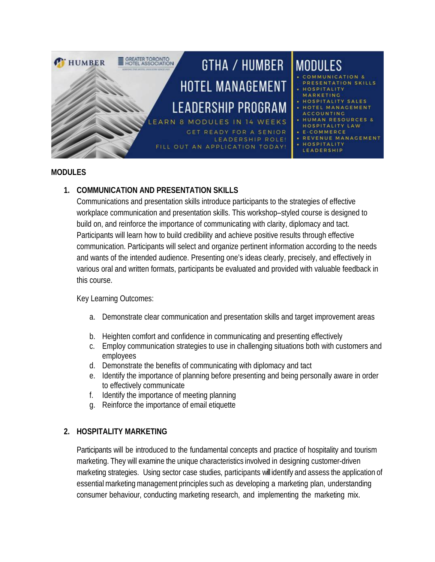

#### **MODULES**

### **1. COMMUNICATION AND PRESENTATION SKILLS**

Communications and presentation skills introduce participants to the strategies of effective workplace communication and presentation skills. This workshop–styled course is designed to build on, and reinforce the importance of communicating with clarity, diplomacy and tact. Participants will learn how to build credibility and achieve positive results through effective communication. Participants will select and organize pertinent information according to the needs and wants of the intended audience. Presenting one's ideas clearly, precisely, and effectively in various oral and written formats, participants be evaluated and provided with valuable feedback in this course.

#### Key Learning Outcomes:

- a. Demonstrate clear communication and presentation skills and target improvement areas
- b. Heighten comfort and confidence in communicating and presenting effectively
- c. Employ communication strategies to use in challenging situations both with customers and employees
- d. Demonstrate the benefits of communicating with diplomacy and tact
- e. Identify the importance of planning before presenting and being personally aware in order to effectively communicate
- f. Identify the importance of meeting planning
- g. Reinforce the importance of email etiquette

### **2. HOSPITALITY MARKETING**

Participants will be introduced to the fundamental concepts and practice of hospitality and tourism marketing. They will examine the unique characteristics involved in designing customer-driven marketing strategies. Using sector case studies, participants will identify and assess the application of essential marketing management principles such as developing a marketing plan, understanding consumer behaviour, conducting marketing research, and implementing the marketing mix.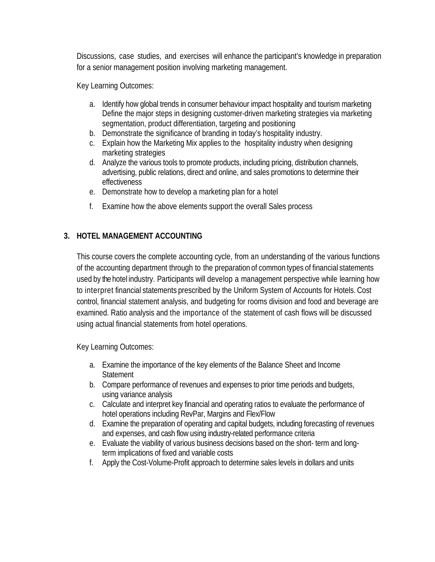Discussions, case studies, and exercises will enhance the participant's knowledge in preparation for a senior management position involving marketing management.

Key Learning Outcomes:

- a. Identify how global trends in consumer behaviour impact hospitality and tourism marketing Define the major steps in designing customer-driven marketing strategies via marketing segmentation, product differentiation, targeting and positioning
- b. Demonstrate the significance of branding in today's hospitality industry.
- c. Explain how the Marketing Mix applies to the hospitality industry when designing marketing strategies
- d. Analyze the various tools to promote products, including pricing, distribution channels, advertising, public relations, direct and online, and sales promotions to determine their effectiveness
- e. Demonstrate how to develop a marketing plan for a hotel
- f. Examine how the above elements support the overall Sales process

### **3. HOTEL MANAGEMENT ACCOUNTING**

This course covers the complete accounting cycle, from an understanding of the various functions of the accounting department through to the preparation of common types of financial statements used by the hotel industry. Participants will develop a management perspective while learning how to interpret financial statements prescribed by the Uniform System of Accounts for Hotels. Cost control, financial statement analysis, and budgeting for rooms division and food and beverage are examined. Ratio analysis and the importance of the statement of cash flows will be discussed using actual financial statements from hotel operations.

Key Learning Outcomes:

- a. Examine the importance of the key elements of the Balance Sheet and Income **Statement**
- b. Compare performance of revenues and expenses to prior time periods and budgets, using variance analysis
- c. Calculate and interpret key financial and operating ratios to evaluate the performance of hotel operations including RevPar, Margins and Flex/Flow
- d. Examine the preparation of operating and capital budgets, including forecasting of revenues and expenses, and cash flow using industry-related performance criteria
- e. Evaluate the viability of various business decisions based on the short- term and longterm implications of fixed and variable costs
- f. Apply the Cost-Volume-Profit approach to determine sales levels in dollars and units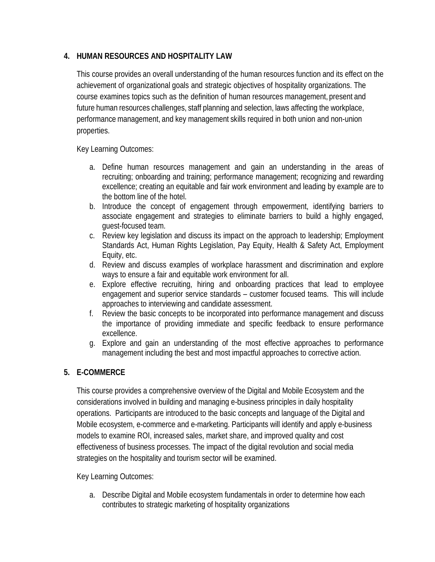### **4. HUMAN RESOURCES AND HOSPITALITY LAW**

This course provides an overall understanding of the human resources function and its effect on the achievement of organizational goals and strategic objectives of hospitality organizations. The course examines topics such as the definition of human resources management, present and future human resources challenges, staff planning and selection, laws affecting the workplace, performance management, and key management skills required in both union and non-union properties.

Key Learning Outcomes:

- a. Define human resources management and gain an understanding in the areas of recruiting; onboarding and training; performance management; recognizing and rewarding excellence; creating an equitable and fair work environment and leading by example are to the bottom line of the hotel.
- b. Introduce the concept of engagement through empowerment, identifying barriers to associate engagement and strategies to eliminate barriers to build a highly engaged, guest-focused team.
- c. Review key legislation and discuss its impact on the approach to leadership; Employment Standards Act, Human Rights Legislation, Pay Equity, Health & Safety Act, Employment Equity, etc.
- d. Review and discuss examples of workplace harassment and discrimination and explore ways to ensure a fair and equitable work environment for all.
- e. Explore effective recruiting, hiring and onboarding practices that lead to employee engagement and superior service standards – customer focused teams. This will include approaches to interviewing and candidate assessment.
- f. Review the basic concepts to be incorporated into performance management and discuss the importance of providing immediate and specific feedback to ensure performance excellence.
- g. Explore and gain an understanding of the most effective approaches to performance management including the best and most impactful approaches to corrective action.

# **5. E-COMMERCE**

This course provides a comprehensive overview of the Digital and Mobile Ecosystem and the considerations involved in building and managing e-business principles in daily hospitality operations. Participants are introduced to the basic concepts and language of the Digital and Mobile ecosystem, e-commerce and e-marketing. Participants will identify and apply e-business models to examine ROI, increased sales, market share, and improved quality and cost effectiveness of business processes. The impact of the digital revolution and social media strategies on the hospitality and tourism sector will be examined.

Key Learning Outcomes:

a. Describe Digital and Mobile ecosystem fundamentals in order to determine how each contributes to strategic marketing of hospitality organizations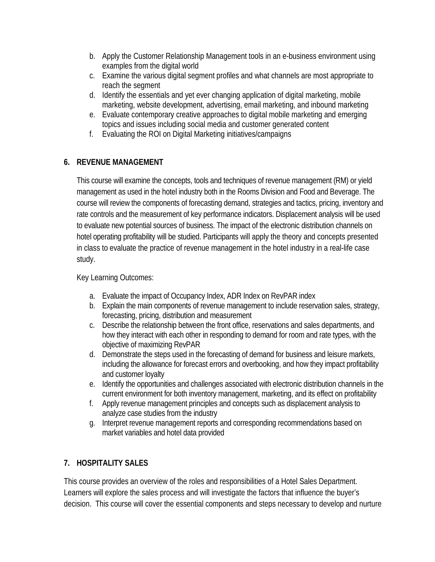- b. Apply the Customer Relationship Management tools in an e-business environment using examples from the digital world
- c. Examine the various digital segment profiles and what channels are most appropriate to reach the segment
- d. Identify the essentials and yet ever changing application of digital marketing, mobile marketing, website development, advertising, email marketing, and inbound marketing
- e. Evaluate contemporary creative approaches to digital mobile marketing and emerging topics and issues including social media and customer generated content
- f. Evaluating the ROI on Digital Marketing initiatives/campaigns

## **6. REVENUE MANAGEMENT**

This course will examine the concepts, tools and techniques of revenue management (RM) or yield management as used in the hotel industry both in the Rooms Division and Food and Beverage. The course will review the components of forecasting demand, strategies and tactics, pricing, inventory and rate controls and the measurement of key performance indicators. Displacement analysis will be used to evaluate new potential sources of business. The impact of the electronic distribution channels on hotel operating profitability will be studied. Participants will apply the theory and concepts presented in class to evaluate the practice of revenue management in the hotel industry in a real-life case study.

Key Learning Outcomes:

- a. Evaluate the impact of Occupancy Index, ADR Index on RevPAR index
- b. Explain the main components of revenue management to include reservation sales, strategy, forecasting, pricing, distribution and measurement
- c. Describe the relationship between the front office, reservations and sales departments, and how they interact with each other in responding to demand for room and rate types, with the objective of maximizing RevPAR
- d. Demonstrate the steps used in the forecasting of demand for business and leisure markets, including the allowance for forecast errors and overbooking, and how they impact profitability and customer loyalty
- e. Identify the opportunities and challenges associated with electronic distribution channels in the current environment for both inventory management, marketing, and its effect on profitability
- f. Apply revenue management principles and concepts such as displacement analysis to analyze case studies from the industry
- g. Interpret revenue management reports and corresponding recommendations based on market variables and hotel data provided

# **7. HOSPITALITY SALES**

This course provides an overview of the roles and responsibilities of a Hotel Sales Department. Learners will explore the sales process and will investigate the factors that influence the buyer's decision. This course will cover the essential components and steps necessary to develop and nurture